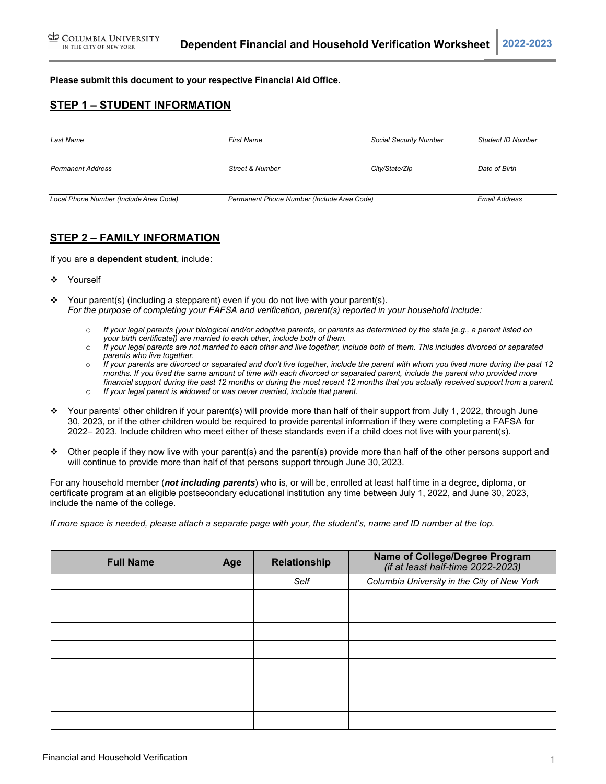**Please submit this document to your respective Financial Aid Office.**

### **STEP 1 – STUDENT INFORMATION**

| Last Name                              | <b>First Name</b>                          | <b>Social Security Number</b> | <b>Student ID Number</b> |
|----------------------------------------|--------------------------------------------|-------------------------------|--------------------------|
| <b>Permanent Address</b>               | Street & Number                            | City/State/Zip                | Date of Birth            |
| Local Phone Number (Include Area Code) | Permanent Phone Number (Include Area Code) |                               | <b>Email Address</b>     |

### **STEP 2 – FAMILY INFORMATION**

If you are a **dependent student**, include:

- ❖ Yourself
- \* Your parent(s) (including a stepparent) even if you do not live with your parent(s). *For the purpose of completing your FAFSA and verification, parent(s) reported in your household include:*
	- o *If your legal parents (your biological and/or adoptive parents, or parents as determined by the state [e.g., a parent listed on your birth certificate]) are married to each other, include both of them.*
	- o *If your legal parents are not married to each other and live together, include both of them. This includes divorced or separated parents who live together.*
	- o *If your parents are divorced or separated and don't live together, include the parent with whom you lived more during the past 12*  months. If you lived the same amount of time with each divorced or separated parent, include the parent who provided more financial support during the past 12 months or during the most recent 12 months that you actually received support from a parent.
	- o *If your legal parent is widowed or was never married, include that parent.*
- Your parents' other children if your parent(s) will provide more than half of their support from July 1, 2022, through June 30, 2023, or if the other children would be required to provide parental information if they were completing a FAFSA for 2022– 2023. Include children who meet either of these standards even if a child does not live with your parent(s).
- $\div$  Other people if they now live with your parent(s) and the parent(s) provide more than half of the other persons support and will continue to provide more than half of that persons support through June 30, 2023.

For any household member (*not including parents*) who is, or will be, enrolled at least half time in a degree, diploma, or certificate program at an eligible postsecondary educational institution any time between July 1, 2022, and June 30, 2023, include the name of the college.

*If more space is needed, please attach a separate page with your, the student's, name and ID number at the top.*

| <b>Full Name</b> | Age | Relationship | Name of College/Degree Program<br>(if at least half-time 2022-2023) |
|------------------|-----|--------------|---------------------------------------------------------------------|
|                  |     | Self         | Columbia University in the City of New York                         |
|                  |     |              |                                                                     |
|                  |     |              |                                                                     |
|                  |     |              |                                                                     |
|                  |     |              |                                                                     |
|                  |     |              |                                                                     |
|                  |     |              |                                                                     |
|                  |     |              |                                                                     |
|                  |     |              |                                                                     |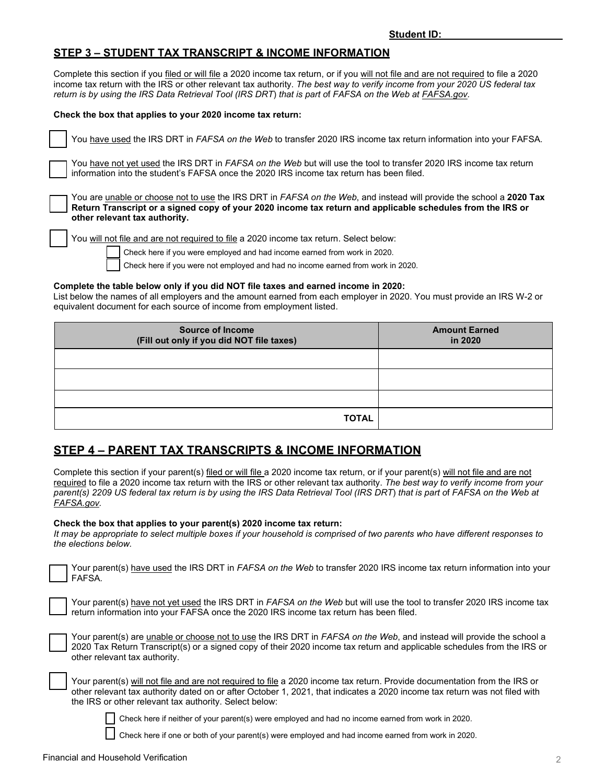## **STEP 3 – STUDENT TAX TRANSCRIPT & INCOME INFORMATION**

Complete this section if you filed or will file a 2020 income tax return, or if you will not file and are not required to file a 2020 income tax return with the IRS or other relevant tax authority. *The best way to verify income from your 2020 US federal tax return is by using the IRS Data Retrieval Tool (IRS DRT*) *that is part o*f *FAFSA on the Web at FAFSA.gov.*

#### **Check the box that applies to your 2020 income tax return:**

|  | T You have used the IRS DRT in FAFSA on the Web to transfer 2020 IRS income tax return information into your FAFSA. |
|--|---------------------------------------------------------------------------------------------------------------------|
|--|---------------------------------------------------------------------------------------------------------------------|

You have not yet used the IRS DRT in *FAFSA on the Web* but will use the tool to transfer 2020 IRS income tax return information into the student's FAFSA once the 2020 IRS income tax return has been filed.

You are unable or choose not to use the IRS DRT in *FAFSA on the Web*, and instead will provide the school a **2020 Tax Return Transcript or a signed copy of your 2020 income tax return and applicable schedules from the IRS or other relevant tax authority.**

You will not file and are not required to file a 2020 income tax return. Select below:

Check here if you were employed and had income earned from work in 2020.

Check here if you were not employed and had no income earned from work in 2020.

#### **Complete the table below only if you did NOT file taxes and earned income in 2020:**

List below the names of all employers and the amount earned from each employer in 2020. You must provide an IRS W-2 or equivalent document for each source of income from employment listed.

| <b>Source of Income</b><br>(Fill out only if you did NOT file taxes) | <b>Amount Earned</b><br>in 2020 |
|----------------------------------------------------------------------|---------------------------------|
|                                                                      |                                 |
|                                                                      |                                 |
|                                                                      |                                 |
| <b>TOTAL</b>                                                         |                                 |

# **STEP 4 – PARENT TAX TRANSCRIPTS & INCOME INFORMATION**

Complete this section if your parent(s) filed or will file a 2020 income tax return, or if your parent(s) will not file and are not required to file a 2020 income tax return with the IRS or other relevant tax authority. *The best way to verify income from your parent(s) 2209 US federal tax return is by using the IRS Data Retrieval Tool (IRS DRT*) *that is part o*f *FAFSA on the Web at FAFSA.gov.*

#### **Check the box that applies to your parent(s) 2020 income tax return:**

*It may be appropriate to select multiple boxes if your household is comprised of two parents who have different responses to the elections below.*

Your parent(s) have used the IRS DRT in *FAFSA on the Web* to transfer 2020 IRS income tax return information into your FAFSA*.*

Your parent(s) have not yet used the IRS DRT in *FAFSA on the Web* but will use the tool to transfer 2020 IRS income tax return information into your FAFSA once the 2020 IRS income tax return has been filed.

| Your parent(s) are unable or choose not to use the IRS DRT in FAFSA on the Web, and instead will provide the school a   |
|-------------------------------------------------------------------------------------------------------------------------|
| 2020 Tax Return Transcript(s) or a signed copy of their 2020 income tax return and applicable schedules from the IRS or |
| other relevant tax authority.                                                                                           |

Your parent(s) will not file and are not required to file a 2020 income tax return. Provide documentation from the IRS or other relevant tax authority dated on or after October 1, 2021, that indicates a 2020 income tax return was not filed with the IRS or other relevant tax authority. Select below:

Check here if neither of your parent(s) were employed and had no income earned from work in 2020.

Check here if one or both of your parent(s) were employed and had income earned from work in 2020.